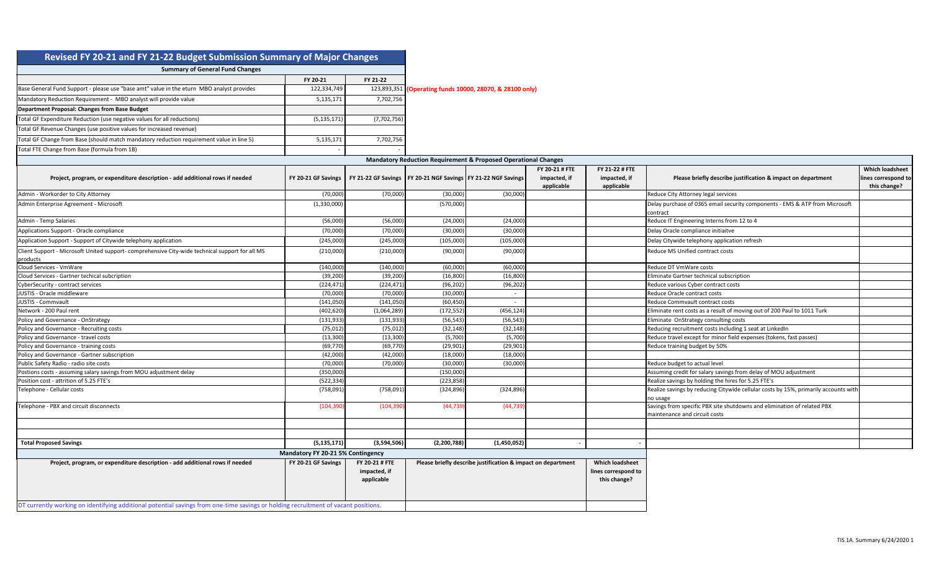| Revised FY 20-21 and FY 21-22 Budget Submission Summary of Major Changes                                                           |                                          |                                              |             |                                                                           |                                              |                                                               |                                                                                         |                                                               |
|------------------------------------------------------------------------------------------------------------------------------------|------------------------------------------|----------------------------------------------|-------------|---------------------------------------------------------------------------|----------------------------------------------|---------------------------------------------------------------|-----------------------------------------------------------------------------------------|---------------------------------------------------------------|
| <b>Summary of General Fund Changes</b>                                                                                             |                                          |                                              |             |                                                                           |                                              |                                                               |                                                                                         |                                                               |
|                                                                                                                                    | FY 20-21                                 | FY 21-22                                     |             |                                                                           |                                              |                                                               |                                                                                         |                                                               |
| Base General Fund Support - please use "base amt" value in the eturn MBO analyst provides                                          | 122,334,749                              |                                              |             | 123,893,351 (Operating funds 10000, 28070, & 28100 only)                  |                                              |                                                               |                                                                                         |                                                               |
| Mandatory Reduction Requirement - MBO analyst will provide value                                                                   | 5,135,171                                | 7,702,756                                    |             |                                                                           |                                              |                                                               |                                                                                         |                                                               |
| Department Proposal: Changes from Base Budget                                                                                      |                                          |                                              |             |                                                                           |                                              |                                                               |                                                                                         |                                                               |
| Total GF Expenditure Reduction (use negative values for all reductions)                                                            | (5, 135, 171)                            | (7,702,756)                                  |             |                                                                           |                                              |                                                               |                                                                                         |                                                               |
|                                                                                                                                    |                                          |                                              |             |                                                                           |                                              |                                                               |                                                                                         |                                                               |
| Total GF Revenue Changes (use positive values for increased revenue)                                                               |                                          |                                              |             |                                                                           |                                              |                                                               |                                                                                         |                                                               |
| Total GF Change from Base (should match mandatory reduction requirement value in line 5)                                           | 5,135,171                                | 7,702,756                                    |             |                                                                           |                                              |                                                               |                                                                                         |                                                               |
| Total FTE Change from Base (formula from 1B)                                                                                       |                                          |                                              |             |                                                                           |                                              |                                                               |                                                                                         |                                                               |
|                                                                                                                                    |                                          |                                              |             | <b>Mandatory Reduction Requirement &amp; Proposed Operational Changes</b> |                                              |                                                               |                                                                                         |                                                               |
| Project, program, or expenditure description - add additional rows if needed                                                       | FY 20-21 GF Savings                      |                                              |             | FY 21-22 GF Savings   FY 20-21 NGF Savings   FY 21-22 NGF Savings         | FY 20-21 # FTE<br>impacted, if<br>applicable | FY 21-22 # FTE<br>impacted, if<br>applicable                  | Please briefly describe justification & impact on department                            | <b>Which loadsheet</b><br>lines correspond to<br>this change? |
| Admin - Workorder to City Attorney                                                                                                 | (70,000)                                 | (70,000)                                     | (30,000)    | (30,000)                                                                  |                                              |                                                               | Reduce City Attorney legal services                                                     |                                                               |
| Admin Enterprise Agreement - Microsoft                                                                                             | (1,330,000)                              |                                              | (570,000)   |                                                                           |                                              |                                                               | Delay purchase of 0365 email security components - EMS & ATP from Microsoft<br>contract |                                                               |
| Admin - Temp Salaries                                                                                                              | (56,000)                                 | (56,000)                                     | (24,000)    | (24,000)                                                                  |                                              |                                                               | Reduce IT Engineering Interns from 12 to 4                                              |                                                               |
| Applications Support - Oracle compliance                                                                                           | (70,000)                                 | (70,000)                                     | (30,000)    | (30,000)                                                                  |                                              |                                                               | Delay Oracle compliance initiaitve                                                      |                                                               |
| Application Support - Support of Citywide telephony application                                                                    | (245,000)                                | (245,000)                                    | (105,000)   | (105,000)                                                                 |                                              |                                                               | Delay Citywide telephony application refresh                                            |                                                               |
| Client Support - Microsoft United support- comprehensive City-wide technical support for all MS<br>products                        | (210,000)                                | (210,000)                                    | (90,000)    | (90,000)                                                                  |                                              |                                                               | Reduce MS Unified contract costs                                                        |                                                               |
| Cloud Services - VmWare                                                                                                            | (140,000)                                | (140,000)                                    | (60,000)    | (60,000)                                                                  |                                              |                                                               | Reduce DT VmWare costs                                                                  |                                                               |
| Cloud Services - Gartner techical subcription                                                                                      | (39, 200)                                | (39, 200)                                    | (16, 800)   | (16, 800)                                                                 |                                              |                                                               | Eliminate Gartner technical subscription                                                |                                                               |
| CyberSecurity - contract services                                                                                                  | (224, 471)                               | (224, 471)                                   | (96, 202)   | (96, 202)                                                                 |                                              |                                                               | Reduce various Cyber contract costs                                                     |                                                               |
| JUSTIS - Oracle middleware                                                                                                         | (70,000)                                 | (70,000)                                     | (30,000)    |                                                                           |                                              |                                                               | Reduce Oracle contract costs                                                            |                                                               |
| JUSTIS - Commvault                                                                                                                 | (141,050)                                | (141,050)                                    | (60, 450)   |                                                                           |                                              |                                                               | Reduce Commvault contract costs                                                         |                                                               |
| Network - 200 Paul rent                                                                                                            | (402, 620)                               | (1,064,289)                                  | (172, 552)  | (456, 124)                                                                |                                              |                                                               | Eliminate rent costs as a result of moving out of 200 Paul to 1011 Turk                 |                                                               |
| Policy and Governance - OnStrategy                                                                                                 | (131, 933)                               | (131, 933)                                   | (56, 543)   | (56, 543)                                                                 |                                              |                                                               | Eliminate OnStrategy consulting costs                                                   |                                                               |
| Policy and Governance - Recruiting costs                                                                                           | (75, 012)                                | (75, 012)                                    | (32, 148)   | (32, 148)                                                                 |                                              |                                                               | Reducing recruitment costs including 1 seat at LinkedIn                                 |                                                               |
| Policy and Governance - travel costs                                                                                               | (13, 300)                                | (13,300)                                     | (5,700)     | (5,700)                                                                   |                                              |                                                               | Reduce travel except for minor field expenses (tokens, fast passes)                     |                                                               |
| Policy and Governance - training costs                                                                                             | (69, 770)                                | (69, 770)                                    | (29, 901)   | (29, 901)                                                                 |                                              |                                                               | Reduce training budget by 50%                                                           |                                                               |
| Policy and Governance - Gartner subscription                                                                                       | (42,000)                                 | (42,000)                                     | (18,000)    | (18,000)                                                                  |                                              |                                                               |                                                                                         |                                                               |
| Public Safety Radio - radio site costs                                                                                             | (70,000)                                 | (70,000)                                     | (30,000)    | (30,000)                                                                  |                                              |                                                               | Reduce budget to actual level                                                           |                                                               |
| Postions costs - assuming salary savings from MOU adjustment delay                                                                 | (350,000)                                |                                              | (150,000)   |                                                                           |                                              |                                                               | Assuming credit for salary savings from delay of MOU adjustment                         |                                                               |
| Position cost - attrition of 5.25 FTE's                                                                                            | (522, 334)                               |                                              | (223, 858)  |                                                                           |                                              |                                                               | Realize savings by holding the hires for 5.25 FTE's                                     |                                                               |
| Telephone - Cellular costs                                                                                                         | (758,091)                                | (758,091)                                    | (324, 896)  | (324, 896)                                                                |                                              |                                                               | Realize savings by reducing Citywide cellular costs by 15%, primarily accounts with     |                                                               |
| Telephone - PBX and circuit disconnects                                                                                            | (104, 390)                               | (104, 390)                                   | (44, 739)   | (44, 739)                                                                 |                                              |                                                               | no usage<br>Savings from specific PBX site shutdowns and elimination of related PBX     |                                                               |
|                                                                                                                                    |                                          |                                              |             |                                                                           |                                              |                                                               | maintenance and circuit costs                                                           |                                                               |
| <b>Total Proposed Savings</b>                                                                                                      | (5, 135, 171)                            | (3,594,506)                                  | (2,200,788) | (1,450,052)                                                               |                                              |                                                               |                                                                                         |                                                               |
|                                                                                                                                    | <b>Mandatory FY 20-21 5% Contingency</b> |                                              |             |                                                                           |                                              |                                                               |                                                                                         |                                                               |
| Project, program, or expenditure description - add additional rows if needed                                                       | FY 20-21 GF Savings                      | FY 20-21 # FTE<br>impacted, if<br>applicable |             | Please briefly describe justification & impact on department              |                                              | <b>Which loadsheet</b><br>lines correspond to<br>this change? |                                                                                         |                                                               |
| DT currently working on identifying additional potential savings from one-time savings or holding recruitment of vacant positions. |                                          |                                              |             |                                                                           |                                              |                                                               |                                                                                         |                                                               |